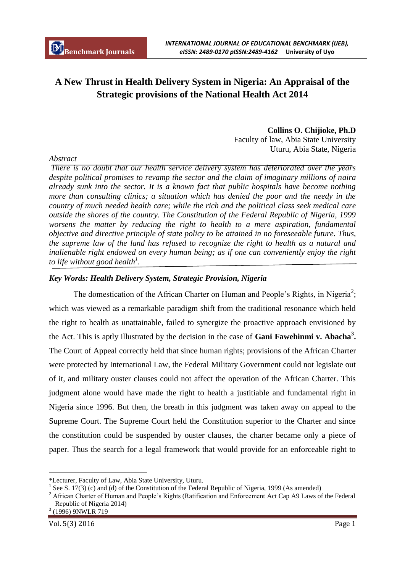# **A New Thrust in Health Delivery System in Nigeria: An Appraisal of the Strategic provisions of the National Health Act 2014**

## **Collins O. Chijioke, Ph.D** Faculty of law, Abia State University Uturu, Abia State, Nigeria

*There is no doubt that our health service delivery system has deteriorated over the years despite political promises to revamp the sector and the claim of imaginary millions of naira already sunk into the sector. It is a known fact that public hospitals have become nothing more than consulting clinics; a situation which has denied the poor and the needy in the country of much needed health care; while the rich and the political class seek medical care outside the shores of the country. The Constitution of the Federal Republic of Nigeria, 1999 worsens the matter by reducing the right to health to a mere aspiration, fundamental objective and directive principle of state policy to be attained in no foreseeable future. Thus, the supreme law of the land has refused to recognize the right to health as a natural and inalienable right endowed on every human being; as if one can conveniently enjoy the right to life without good health<sup>1</sup> .*

# *Key Words: Health Delivery System, Strategic Provision, Nigeria*

The domestication of the African Charter on Human and People's Rights, in Nigeria<sup>2</sup>; which was viewed as a remarkable paradigm shift from the traditional resonance which held the right to health as unattainable, failed to synergize the proactive approach envisioned by the Act. This is aptly illustrated by the decision in the case of **Gani Fawehinmi v. Abacha<sup>3</sup> .** The Court of Appeal correctly held that since human rights; provisions of the African Charter were protected by International Law, the Federal Military Government could not legislate out of it, and military ouster clauses could not affect the operation of the African Charter. This judgment alone would have made the right to health a justitiable and fundamental right in Nigeria since 1996. But then, the breath in this judgment was taken away on appeal to the Supreme Court. The Supreme Court held the Constitution superior to the Charter and since the constitution could be suspended by ouster clauses, the charter became only a piece of paper. Thus the search for a legal framework that would provide for an enforceable right to

$$
^{3} (1996) 9 \text{NWLR} 719
$$

Vol. 5(3) 2016 Page 1

 $\overline{a}$ 

# *Abstract*

<sup>\*</sup>Lecturer, Faculty of Law, Abia State University, Uturu.

<sup>&</sup>lt;sup>1</sup> See S. 17(3) (c) and (d) of the Constitution of the Federal Republic of Nigeria, 1999 (As amended)

<sup>&</sup>lt;sup>2</sup> African Charter of Human and People's Rights (Ratification and Enforcement Act Cap A9 Laws of the Federal Republic of Nigeria 2014)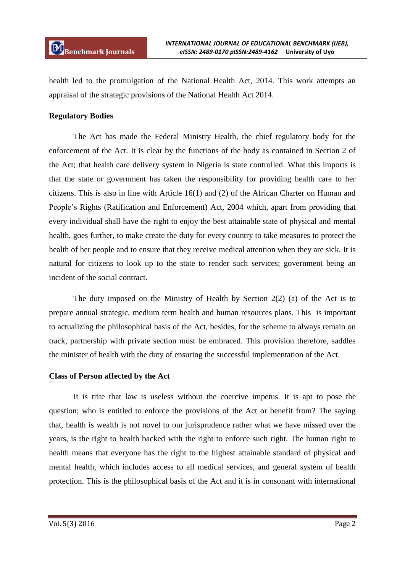health led to the promulgation of the National Health Act, 2014. This work attempts an appraisal of the strategic provisions of the National Health Act 2014.

## **Regulatory Bodies**

The Act has made the Federal Ministry Health, the chief regulatory body for the enforcement of the Act. It is clear by the functions of the body as contained in Section 2 of the Act; that health care delivery system in Nigeria is state controlled. What this imports is that the state or government has taken the responsibility for providing health care to her citizens. This is also in line with Article 16(1) and (2) of the African Charter on Human and People's Rights (Ratification and Enforcement) Act, 2004 which, apart from providing that every individual shall have the right to enjoy the best attainable state of physical and mental health, goes further, to make create the duty for every country to take measures to protect the health of her people and to ensure that they receive medical attention when they are sick. It is natural for citizens to look up to the state to render such services; government being an incident of the social contract.

The duty imposed on the Ministry of Health by Section 2(2) (a) of the Act is to prepare annual strategic, medium term health and human resources plans. This is important to actualizing the philosophical basis of the Act, besides, for the scheme to always remain on track, partnership with private section must be embraced. This provision therefore, saddles the minister of health with the duty of ensuring the successful implementation of the Act.

#### **Class of Person affected by the Act**

It is trite that law is useless without the coercive impetus. It is apt to pose the question; who is entitled to enforce the provisions of the Act or benefit from? The saying that, health is wealth is not novel to our jurisprudence rather what we have missed over the years, is the right to health backed with the right to enforce such right. The human right to health means that everyone has the right to the highest attainable standard of physical and mental health, which includes access to all medical services, and general system of health protection. This is the philosophical basis of the Act and it is in consonant with international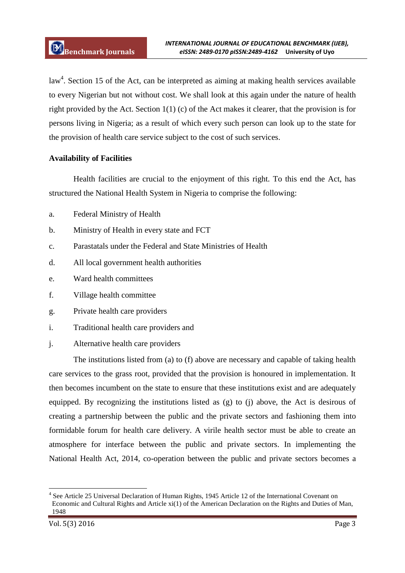law<sup>4</sup>. Section 15 of the Act, can be interpreted as aiming at making health services available to every Nigerian but not without cost. We shall look at this again under the nature of health right provided by the Act. Section 1(1) (c) of the Act makes it clearer, that the provision is for persons living in Nigeria; as a result of which every such person can look up to the state for the provision of health care service subject to the cost of such services.

# **Availability of Facilities**

Health facilities are crucial to the enjoyment of this right. To this end the Act, has structured the National Health System in Nigeria to comprise the following:

- a. Federal Ministry of Health
- b. Ministry of Health in every state and FCT
- c. Parastatals under the Federal and State Ministries of Health
- d. All local government health authorities
- e. Ward health committees
- f. Village health committee
- g. Private health care providers
- i. Traditional health care providers and
- j. Alternative health care providers

The institutions listed from (a) to (f) above are necessary and capable of taking health care services to the grass root, provided that the provision is honoured in implementation. It then becomes incumbent on the state to ensure that these institutions exist and are adequately equipped. By recognizing the institutions listed as (g) to (j) above, the Act is desirous of creating a partnership between the public and the private sectors and fashioning them into formidable forum for health care delivery. A virile health sector must be able to create an atmosphere for interface between the public and private sectors. In implementing the National Health Act, 2014, co-operation between the public and private sectors becomes a

**.** 

<sup>4</sup> See Article 25 Universal Declaration of Human Rights, 1945 Article 12 of the International Covenant on Economic and Cultural Rights and Article xi(1) of the American Declaration on the Rights and Duties of Man, 1948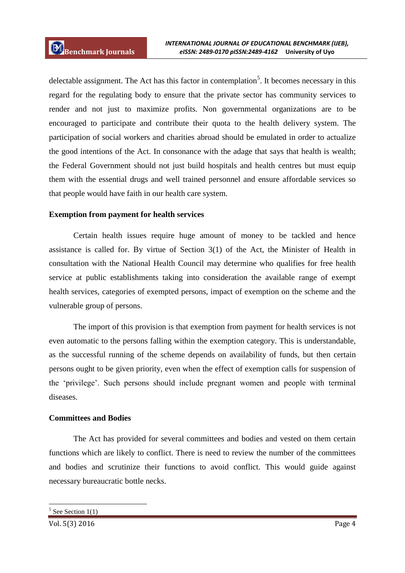delectable assignment. The Act has this factor in contemplation<sup>5</sup>. It becomes necessary in this regard for the regulating body to ensure that the private sector has community services to render and not just to maximize profits. Non governmental organizations are to be encouraged to participate and contribute their quota to the health delivery system. The participation of social workers and charities abroad should be emulated in order to actualize the good intentions of the Act. In consonance with the adage that says that health is wealth; the Federal Government should not just build hospitals and health centres but must equip them with the essential drugs and well trained personnel and ensure affordable services so that people would have faith in our health care system.

## **Exemption from payment for health services**

Certain health issues require huge amount of money to be tackled and hence assistance is called for. By virtue of Section 3(1) of the Act, the Minister of Health in consultation with the National Health Council may determine who qualifies for free health service at public establishments taking into consideration the available range of exempt health services, categories of exempted persons, impact of exemption on the scheme and the vulnerable group of persons.

The import of this provision is that exemption from payment for health services is not even automatic to the persons falling within the exemption category. This is understandable, as the successful running of the scheme depends on availability of funds, but then certain persons ought to be given priority, even when the effect of exemption calls for suspension of the 'privilege'. Such persons should include pregnant women and people with terminal diseases.

#### **Committees and Bodies**

The Act has provided for several committees and bodies and vested on them certain functions which are likely to conflict. There is need to review the number of the committees and bodies and scrutinize their functions to avoid conflict. This would guide against necessary bureaucratic bottle necks.

1

<sup>5</sup> See Section 1(1)

Vol. 5(3) 2016 Page 4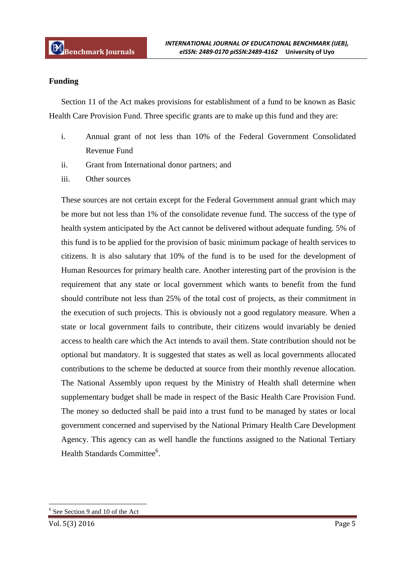## **Funding**

Section 11 of the Act makes provisions for establishment of a fund to be known as Basic Health Care Provision Fund. Three specific grants are to make up this fund and they are:

- i. Annual grant of not less than 10% of the Federal Government Consolidated Revenue Fund
- ii. Grant from International donor partners; and
- iii. Other sources

These sources are not certain except for the Federal Government annual grant which may be more but not less than 1% of the consolidate revenue fund. The success of the type of health system anticipated by the Act cannot be delivered without adequate funding. 5% of this fund is to be applied for the provision of basic minimum package of health services to citizens. It is also salutary that 10% of the fund is to be used for the development of Human Resources for primary health care. Another interesting part of the provision is the requirement that any state or local government which wants to benefit from the fund should contribute not less than 25% of the total cost of projects, as their commitment in the execution of such projects. This is obviously not a good regulatory measure. When a state or local government fails to contribute, their citizens would invariably be denied access to health care which the Act intends to avail them. State contribution should not be optional but mandatory. It is suggested that states as well as local governments allocated contributions to the scheme be deducted at source from their monthly revenue allocation. The National Assembly upon request by the Ministry of Health shall determine when supplementary budget shall be made in respect of the Basic Health Care Provision Fund. The money so deducted shall be paid into a trust fund to be managed by states or local government concerned and supervised by the National Primary Health Care Development Agency. This agency can as well handle the functions assigned to the National Tertiary Health Standards Committee<sup>6</sup>.

1

<sup>6</sup> See Section 9 and 10 of the Act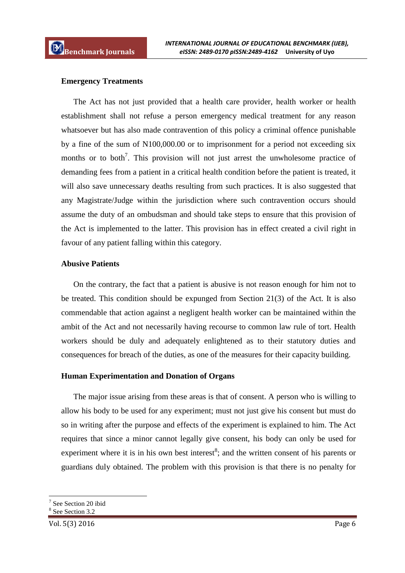#### **Emergency Treatments**

The Act has not just provided that a health care provider, health worker or health establishment shall not refuse a person emergency medical treatment for any reason whatsoever but has also made contravention of this policy a criminal offence punishable by a fine of the sum of N100,000.00 or to imprisonment for a period not exceeding six months or to both<sup>7</sup>. This provision will not just arrest the unwholesome practice of demanding fees from a patient in a critical health condition before the patient is treated, it will also save unnecessary deaths resulting from such practices. It is also suggested that any Magistrate/Judge within the jurisdiction where such contravention occurs should assume the duty of an ombudsman and should take steps to ensure that this provision of the Act is implemented to the latter. This provision has in effect created a civil right in favour of any patient falling within this category.

#### **Abusive Patients**

On the contrary, the fact that a patient is abusive is not reason enough for him not to be treated. This condition should be expunged from Section 21(3) of the Act. It is also commendable that action against a negligent health worker can be maintained within the ambit of the Act and not necessarily having recourse to common law rule of tort. Health workers should be duly and adequately enlightened as to their statutory duties and consequences for breach of the duties, as one of the measures for their capacity building.

#### **Human Experimentation and Donation of Organs**

The major issue arising from these areas is that of consent. A person who is willing to allow his body to be used for any experiment; must not just give his consent but must do so in writing after the purpose and effects of the experiment is explained to him. The Act requires that since a minor cannot legally give consent, his body can only be used for experiment where it is in his own best interest<sup>8</sup>; and the written consent of his parents or guardians duly obtained. The problem with this provision is that there is no penalty for

**.** 

<sup>7</sup> See Section 20 ibid

<sup>8</sup> See Section 3.2

Vol. 5(3) 2016 Page 6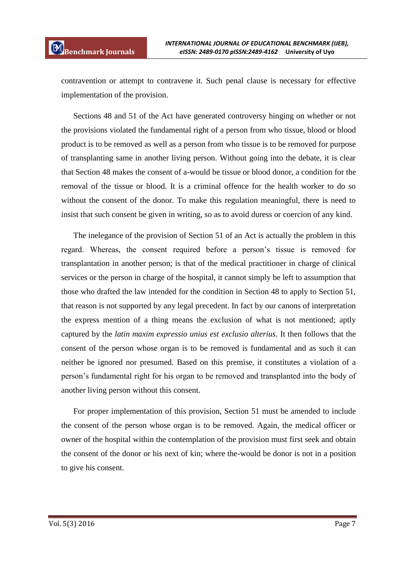contravention or attempt to contravene it. Such penal clause is necessary for effective implementation of the provision.

Sections 48 and 51 of the Act have generated controversy hinging on whether or not the provisions violated the fundamental right of a person from who tissue, blood or blood product is to be removed as well as a person from who tissue is to be removed for purpose of transplanting same in another living person. Without going into the debate, it is clear that Section 48 makes the consent of a-would be tissue or blood donor, a condition for the removal of the tissue or blood. It is a criminal offence for the health worker to do so without the consent of the donor. To make this regulation meaningful, there is need to insist that such consent be given in writing, so as to avoid duress or coercion of any kind.

The inelegance of the provision of Section 51 of an Act is actually the problem in this regard. Whereas, the consent required before a person's tissue is removed for transplantation in another person; is that of the medical practitioner in charge of clinical services or the person in charge of the hospital, it cannot simply be left to assumption that those who drafted the law intended for the condition in Section 48 to apply to Section 51, that reason is not supported by any legal precedent. In fact by our canons of interpretation the express mention of a thing means the exclusion of what is not mentioned; aptly captured by the *latin maxim expressio unius est exclusio alterius*. It then follows that the consent of the person whose organ is to be removed is fundamental and as such it can neither be ignored nor presumed. Based on this premise, it constitutes a violation of a person's fundamental right for his organ to be removed and transplanted into the body of another living person without this consent.

For proper implementation of this provision, Section 51 must be amended to include the consent of the person whose organ is to be removed. Again, the medical officer or owner of the hospital within the contemplation of the provision must first seek and obtain the consent of the donor or his next of kin; where the-would be donor is not in a position to give his consent.